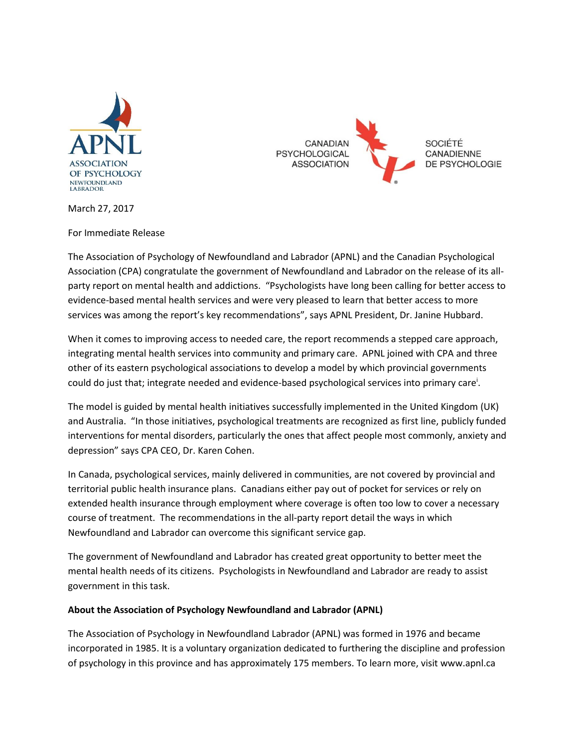



March 27, 2017

For Immediate Release

The Association of Psychology of Newfoundland and Labrador (APNL) and the Canadian Psychological Association (CPA) congratulate the government of Newfoundland and Labrador on the release of its allparty report on mental health and addictions. "Psychologists have long been calling for better access to evidence-based mental health services and were very pleased to learn that better access to more services was among the report's key recommendations", says APNL President, Dr. Janine Hubbard.

When it comes to improving access to needed care, the report recommends a stepped care approach, integrating mental health services into community and primary care. APNL joined with CPA and three other of its eastern psychological associations to develop a model by which provincial governments could do just that; integrate needed and evidence-based psychological services into primary care<sup>i</sup>.

The model is guided by mental health initiatives successfully implemented in the United Kingdom (UK) and Australia. "In those initiatives, psychological treatments are recognized as first line, publicly funded interventions for mental disorders, particularly the ones that affect people most commonly, anxiety and depression" says CPA CEO, Dr. Karen Cohen.

In Canada, psychological services, mainly delivered in communities, are not covered by provincial and territorial public health insurance plans. Canadians either pay out of pocket for services or rely on extended health insurance through employment where coverage is often too low to cover a necessary course of treatment. The recommendations in the all-party report detail the ways in which Newfoundland and Labrador can overcome this significant service gap.

The government of Newfoundland and Labrador has created great opportunity to better meet the mental health needs of its citizens. Psychologists in Newfoundland and Labrador are ready to assist government in this task.

## **About the Association of Psychology Newfoundland and Labrador (APNL)**

The Association of Psychology in Newfoundland Labrador (APNL) was formed in 1976 and became incorporated in 1985. It is a voluntary organization dedicated to furthering the discipline and profession of psychology in this province and has approximately 175 members. To learn more, visit www.apnl.ca